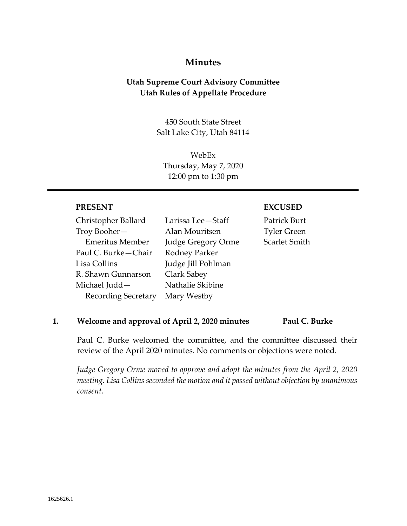## **Minutes**

# **Utah Supreme Court Advisory Committee Utah Rules of Appellate Procedure**

450 South State Street Salt Lake City, Utah 84114

WebEx Thursday, May 7, 2020 12:00 pm to 1:30 pm

### **PRESENT**

| Christopher Ballard        | Larissa Lee-Staff  |
|----------------------------|--------------------|
| Troy Booher—               | Alan Mouritsen     |
| <b>Emeritus Member</b>     | Judge Gregory Orme |
| Paul C. Burke—Chair        | Rodney Parker      |
| Lisa Collins               | Judge Jill Pohlman |
| R. Shawn Gunnarson         | Clark Sabey        |
| Michael Judd—              | Nathalie Skibine   |
| <b>Recording Secretary</b> | Mary Westby        |

#### **EXCUSED**

Patrick Burt Tyler Green Scarlet Smith

### **1. Welcome and approval of April 2, 2020 minutes Paul C. Burke**

Paul C. Burke welcomed the committee, and the committee discussed their review of the April 2020 minutes. No comments or objections were noted.

*Judge Gregory Orme moved to approve and adopt the minutes from the April 2, 2020 meeting. Lisa Collins seconded the motion and it passed without objection by unanimous consent.*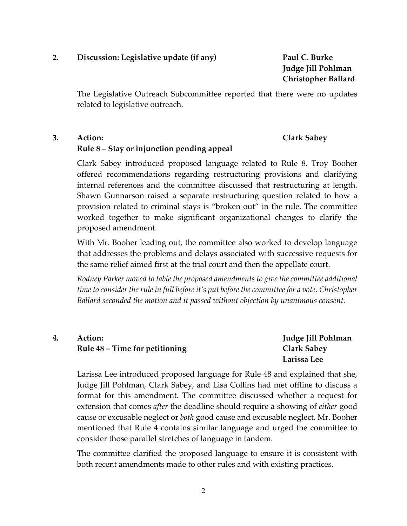### **2. Discussion: Legislative update (if any) Paul C. Burke**

**Judge Jill Pohlman Christopher Ballard**

The Legislative Outreach Subcommittee reported that there were no updates related to legislative outreach.

#### **3. Action:**

### **Clark Sabey**

# **Rule 8 – Stay or injunction pending appeal**

Clark Sabey introduced proposed language related to Rule 8. Troy Booher offered recommendations regarding restructuring provisions and clarifying internal references and the committee discussed that restructuring at length. Shawn Gunnarson raised a separate restructuring question related to how a provision related to criminal stays is "broken out" in the rule. The committee worked together to make significant organizational changes to clarify the proposed amendment.

With Mr. Booher leading out, the committee also worked to develop language that addresses the problems and delays associated with successive requests for the same relief aimed first at the trial court and then the appellate court.

*Rodney Parker moved to table the proposed amendments to give the committee additional time to consider the rule in full before it's put before the committee for a vote. Christopher Ballard seconded the motion and it passed without objection by unanimous consent.*

## **4. Action: Rule 48 – Time for petitioning**

**Judge Jill Pohlman Clark Sabey Larissa Lee**

Larissa Lee introduced proposed language for Rule 48 and explained that she, Judge Jill Pohlman, Clark Sabey, and Lisa Collins had met offline to discuss a format for this amendment. The committee discussed whether a request for extension that comes *after* the deadline should require a showing of *either* good cause or excusable neglect or *both* good cause and excusable neglect. Mr. Booher mentioned that Rule 4 contains similar language and urged the committee to consider those parallel stretches of language in tandem.

The committee clarified the proposed language to ensure it is consistent with both recent amendments made to other rules and with existing practices.